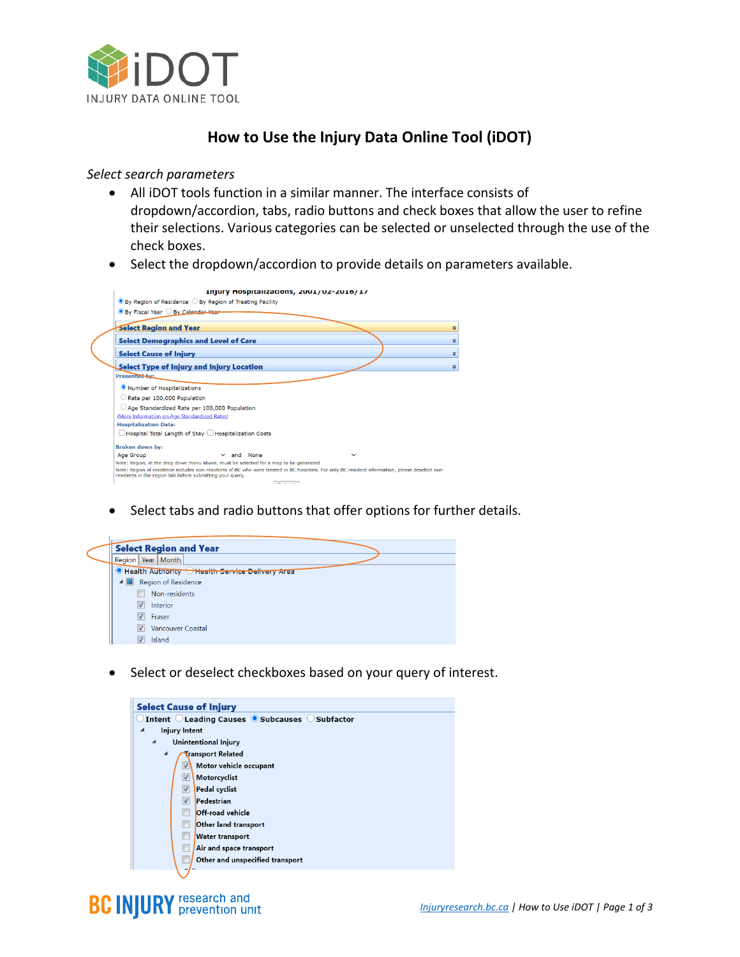

## **How to Use the Injury Data Online Tool (iDOT)**

## *Select search parameters*

- All iDOT tools function in a similar manner. The interface consists of dropdown/accordion, tabs, radio buttons and check boxes that allow the user to refine their selections. Various categories can be selected or unselected through the use of the check boxes.
- Select the dropdown/accordion to provide details on parameters available.

| $\bullet$ By Region of Residence $\circlearrowright$ By Region of Treating Facility<br><b>O</b> By Fiscal Year O By Calendar Year                                                                                                                                                                                                   |    |
|-------------------------------------------------------------------------------------------------------------------------------------------------------------------------------------------------------------------------------------------------------------------------------------------------------------------------------------|----|
|                                                                                                                                                                                                                                                                                                                                     |    |
|                                                                                                                                                                                                                                                                                                                                     |    |
| <b>Select Region and Year</b>                                                                                                                                                                                                                                                                                                       | ¥. |
| <b>Select Demographics and Level of Care</b>                                                                                                                                                                                                                                                                                        | ×. |
| <b>Select Cause of Injury</b>                                                                                                                                                                                                                                                                                                       | ×  |
| Select Type of Injury and Injury Location                                                                                                                                                                                                                                                                                           | ×. |
| Presented by:                                                                                                                                                                                                                                                                                                                       |    |
| Number of Hospitalizations                                                                                                                                                                                                                                                                                                          |    |
| Rate per 100,000 Population                                                                                                                                                                                                                                                                                                         |    |
| Age Standardized Rate per 100,000 Population<br>(More Information on Age Standardized Rates)<br><b>Hospitalization Data:</b>                                                                                                                                                                                                        |    |
| Hospital Total Length of Stay Hospitalization Costs                                                                                                                                                                                                                                                                                 |    |
| <b>Broken down by:</b>                                                                                                                                                                                                                                                                                                              |    |
| $\times$ and None<br><b>Age Group</b>                                                                                                                                                                                                                                                                                               |    |
| Note: Region, in the drop down menu above, must be selected for a map to be generated<br>Note: Region of residence includes non-residents of BC who were treated in BC hospitals. For only BC resident information, please deselect non-<br>residents in the region tab before submitting your query.<br>the company of the company |    |

• Select tabs and radio buttons that offer options for further details.



• Select or deselect checkboxes based on your query of interest.



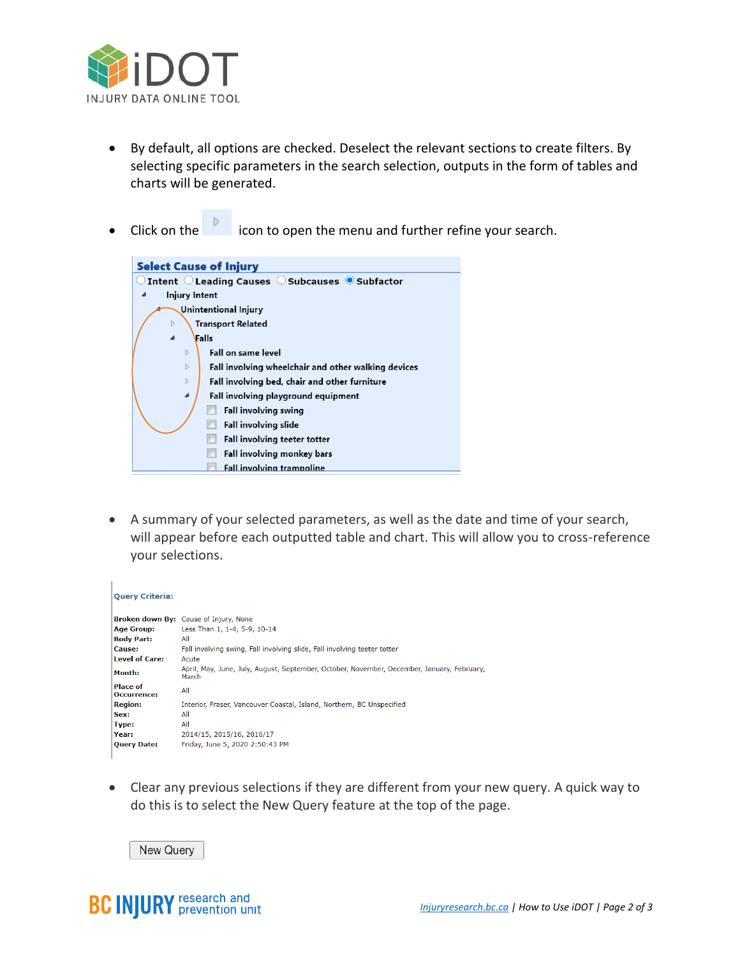

- By default, all options are checked. Deselect the relevant sections to create filters. By selecting specific parameters in the search selection, outputs in the form of tables and charts will be generated.
- example in the intervals of the menu and further refine your search.



• A summary of your selected parameters, as well as the date and time of your search, will appear before each outputted table and chart. This will allow you to cross-reference your selections.

| <b>Query Criteria:</b>         |                                                                                                     |  |  |
|--------------------------------|-----------------------------------------------------------------------------------------------------|--|--|
|                                | Broken down By: Cause of Injury, None                                                               |  |  |
| <b>Age Group:</b>              | Less Than 1, 1-4, 5-9, 10-14                                                                        |  |  |
| <b>Body Part:</b>              | All                                                                                                 |  |  |
| Cause:                         | Fall involving swing, Fall involving slide, Fall involving teeter totter                            |  |  |
| <b>Level of Care:</b>          | Acute                                                                                               |  |  |
| Month:                         | April, May, June, July, August, September, October, November, December, January, February,<br>March |  |  |
| <b>Place of</b><br>Occurrence: | All                                                                                                 |  |  |
| <b>Region:</b>                 | Interior, Fraser, Vancouver Coastal, Island, Northern, BC Unspecified                               |  |  |
| Sex:                           | All                                                                                                 |  |  |
| Type:                          | All                                                                                                 |  |  |
| Year:                          | 2014/15, 2015/16, 2016/17                                                                           |  |  |
| <b>Query Date:</b>             | Friday, June 5, 2020 2:50:43 PM                                                                     |  |  |
|                                |                                                                                                     |  |  |

• Clear any previous selections if they are different from your new query. A quick way to do this is to select the New Query feature at the top of the page.